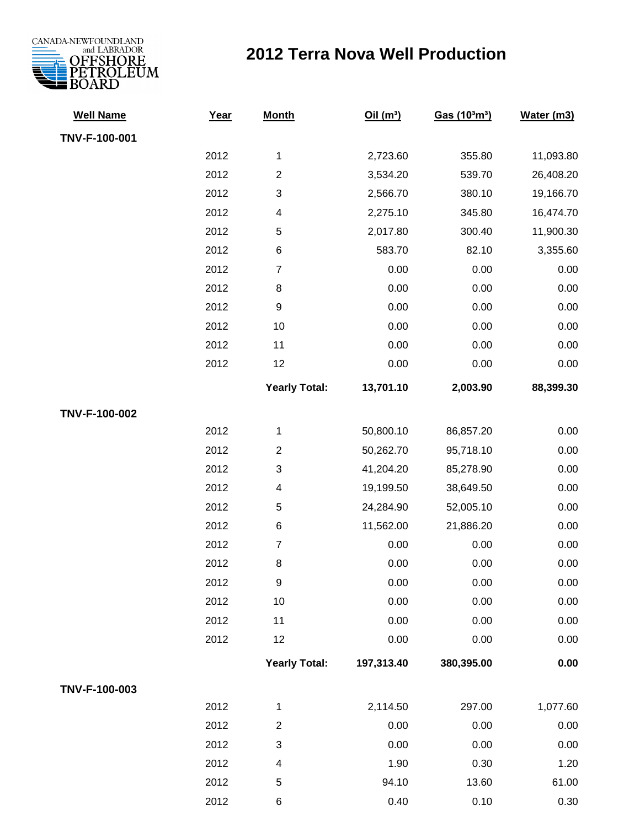

## **2012 Terra Nova Well Production**

| <b>Well Name</b> | Year | <b>Month</b>              | Oil(m <sup>3</sup> ) | Gas (10 <sup>3</sup> m <sup>3</sup> ) | Water (m3) |
|------------------|------|---------------------------|----------------------|---------------------------------------|------------|
| TNV-F-100-001    |      |                           |                      |                                       |            |
|                  | 2012 | 1                         | 2,723.60             | 355.80                                | 11,093.80  |
|                  | 2012 | $\overline{2}$            | 3,534.20             | 539.70                                | 26,408.20  |
|                  | 2012 | $\ensuremath{\mathsf{3}}$ | 2,566.70             | 380.10                                | 19,166.70  |
|                  | 2012 | 4                         | 2,275.10             | 345.80                                | 16,474.70  |
|                  | 2012 | 5                         | 2,017.80             | 300.40                                | 11,900.30  |
|                  | 2012 | $\,6$                     | 583.70               | 82.10                                 | 3,355.60   |
|                  | 2012 | $\overline{7}$            | 0.00                 | 0.00                                  | 0.00       |
|                  | 2012 | 8                         | 0.00                 | 0.00                                  | 0.00       |
|                  | 2012 | $\boldsymbol{9}$          | 0.00                 | 0.00                                  | 0.00       |
|                  | 2012 | 10                        | 0.00                 | 0.00                                  | 0.00       |
|                  | 2012 | 11                        | 0.00                 | 0.00                                  | 0.00       |
|                  | 2012 | 12                        | 0.00                 | 0.00                                  | 0.00       |
|                  |      | <b>Yearly Total:</b>      | 13,701.10            | 2,003.90                              | 88,399.30  |
| TNV-F-100-002    |      |                           |                      |                                       |            |
|                  | 2012 | 1                         | 50,800.10            | 86,857.20                             | 0.00       |
|                  | 2012 | $\overline{2}$            | 50,262.70            | 95,718.10                             | 0.00       |
|                  | 2012 | $\ensuremath{\mathsf{3}}$ | 41,204.20            | 85,278.90                             | 0.00       |
|                  | 2012 | 4                         | 19,199.50            | 38,649.50                             | 0.00       |
|                  | 2012 | 5                         | 24,284.90            | 52,005.10                             | 0.00       |
|                  | 2012 | 6                         | 11,562.00            | 21,886.20                             | 0.00       |
|                  | 2012 | $\overline{7}$            | 0.00                 | 0.00                                  | 0.00       |
|                  | 2012 | $\,8\,$                   | 0.00                 | 0.00                                  | 0.00       |
|                  | 2012 | $\boldsymbol{9}$          | 0.00                 | 0.00                                  | 0.00       |
|                  | 2012 | $10$                      | 0.00                 | 0.00                                  | 0.00       |
|                  | 2012 | 11                        | 0.00                 | 0.00                                  | 0.00       |
|                  | 2012 | 12                        | 0.00                 | 0.00                                  | 0.00       |
|                  |      | <b>Yearly Total:</b>      | 197,313.40           | 380,395.00                            | $0.00\,$   |
| TNV-F-100-003    |      |                           |                      |                                       |            |
|                  | 2012 | 1                         | 2,114.50             | 297.00                                | 1,077.60   |
|                  | 2012 | $\overline{2}$            | 0.00                 | 0.00                                  | 0.00       |
|                  | 2012 | $\ensuremath{\mathsf{3}}$ | 0.00                 | 0.00                                  | 0.00       |
|                  | 2012 | $\overline{\mathbf{4}}$   | 1.90                 | 0.30                                  | 1.20       |
|                  | 2012 | $\mathbf 5$               | 94.10                | 13.60                                 | 61.00      |
|                  | 2012 | 6                         | 0.40                 | 0.10                                  | 0.30       |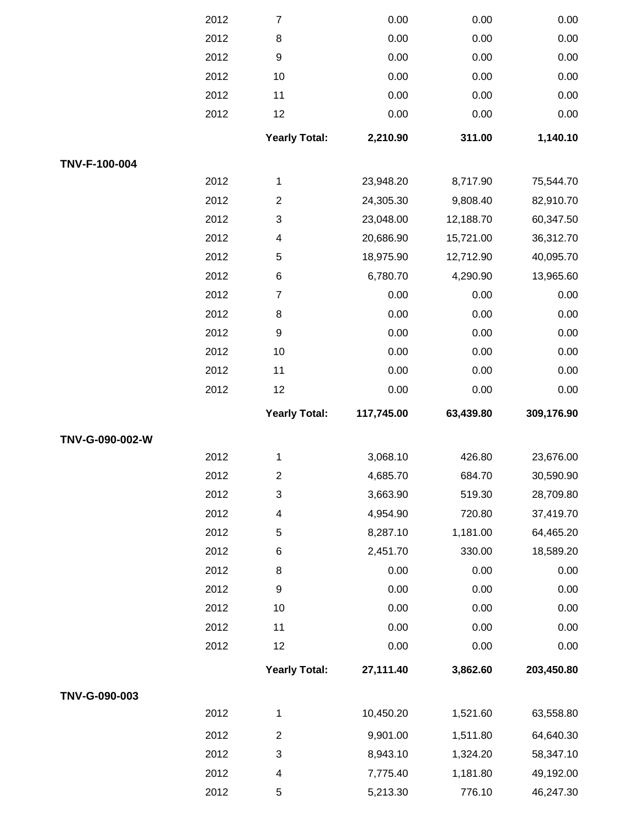|                 | 2012 | $\overline{7}$            | 0.00       | 0.00      | 0.00       |
|-----------------|------|---------------------------|------------|-----------|------------|
|                 | 2012 | 8                         | 0.00       | 0.00      | 0.00       |
|                 | 2012 | $\boldsymbol{9}$          | 0.00       | 0.00      | 0.00       |
|                 | 2012 | 10                        | 0.00       | 0.00      | 0.00       |
|                 | 2012 | 11                        | 0.00       | 0.00      | 0.00       |
|                 | 2012 | 12                        | 0.00       | 0.00      | 0.00       |
|                 |      | <b>Yearly Total:</b>      | 2,210.90   | 311.00    | 1,140.10   |
| TNV-F-100-004   |      |                           |            |           |            |
|                 | 2012 | 1                         | 23,948.20  | 8,717.90  | 75,544.70  |
|                 | 2012 | $\boldsymbol{2}$          | 24,305.30  | 9,808.40  | 82,910.70  |
|                 | 2012 | $\ensuremath{\mathsf{3}}$ | 23,048.00  | 12,188.70 | 60,347.50  |
|                 | 2012 | 4                         | 20,686.90  | 15,721.00 | 36,312.70  |
|                 | 2012 | 5                         | 18,975.90  | 12,712.90 | 40,095.70  |
|                 | 2012 | 6                         | 6,780.70   | 4,290.90  | 13,965.60  |
|                 | 2012 | $\overline{7}$            | 0.00       | 0.00      | 0.00       |
|                 | 2012 | 8                         | 0.00       | 0.00      | 0.00       |
|                 | 2012 | $\boldsymbol{9}$          | 0.00       | 0.00      | 0.00       |
|                 | 2012 | 10                        | 0.00       | 0.00      | 0.00       |
|                 | 2012 | 11                        | 0.00       | 0.00      | 0.00       |
|                 | 2012 | 12                        | 0.00       | 0.00      | 0.00       |
|                 |      | <b>Yearly Total:</b>      | 117,745.00 | 63,439.80 | 309,176.90 |
|                 |      |                           |            |           |            |
| TNV-G-090-002-W |      |                           |            |           |            |
|                 | 2012 | 1                         | 3,068.10   | 426.80    | 23,676.00  |
|                 | 2012 | $\overline{\mathbf{c}}$   | 4,685.70   | 684.70    | 30,590.90  |
|                 | 2012 | $\mathsf 3$               | 3,663.90   | 519.30    | 28,709.80  |
|                 | 2012 | 4                         | 4,954.90   | 720.80    | 37,419.70  |
|                 | 2012 | 5                         | 8,287.10   | 1,181.00  | 64,465.20  |
|                 | 2012 | 6                         | 2,451.70   | 330.00    | 18,589.20  |
|                 | 2012 | 8                         | 0.00       | 0.00      | 0.00       |
|                 | 2012 | $\boldsymbol{9}$          | 0.00       | 0.00      | 0.00       |
|                 | 2012 | 10                        | 0.00       | 0.00      | 0.00       |
|                 | 2012 | 11                        | 0.00       | 0.00      | 0.00       |
|                 | 2012 | 12                        | 0.00       | 0.00      | 0.00       |
|                 |      | <b>Yearly Total:</b>      | 27,111.40  | 3,862.60  | 203,450.80 |
| TNV-G-090-003   |      |                           |            |           |            |
|                 | 2012 | 1                         | 10,450.20  | 1,521.60  | 63,558.80  |
|                 | 2012 | $\overline{2}$            | 9,901.00   | 1,511.80  | 64,640.30  |
|                 | 2012 | 3                         | 8,943.10   | 1,324.20  | 58,347.10  |
|                 | 2012 | 4                         | 7,775.40   | 1,181.80  | 49,192.00  |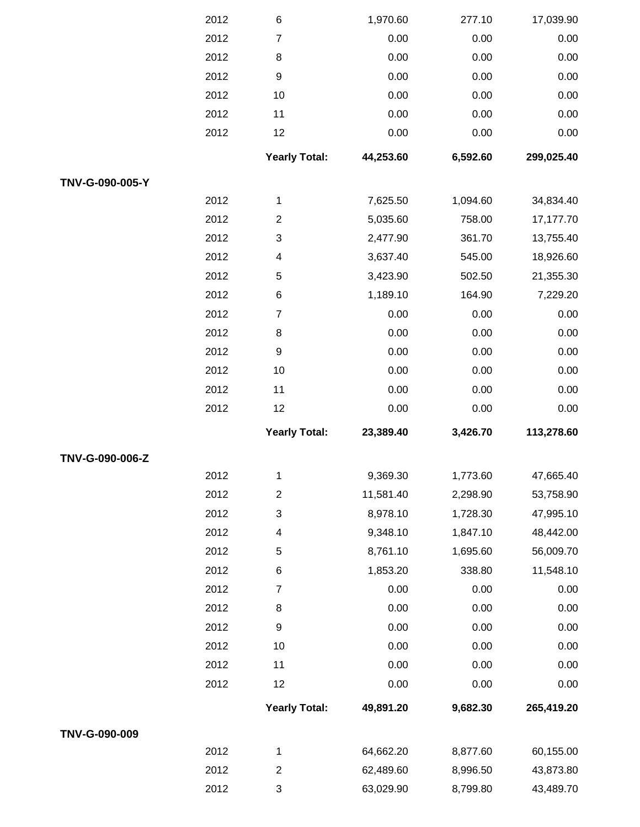|                 | 2012 | 6                       | 1,970.60  | 277.10   | 17,039.90  |
|-----------------|------|-------------------------|-----------|----------|------------|
|                 | 2012 | $\overline{7}$          | 0.00      | 0.00     | 0.00       |
|                 | 2012 | 8                       | 0.00      | 0.00     | 0.00       |
|                 | 2012 | 9                       | 0.00      | 0.00     | 0.00       |
|                 | 2012 | 10                      | 0.00      | 0.00     | 0.00       |
|                 | 2012 | 11                      | 0.00      | 0.00     | 0.00       |
|                 | 2012 | 12                      | 0.00      | 0.00     | 0.00       |
|                 |      | <b>Yearly Total:</b>    | 44,253.60 | 6,592.60 | 299,025.40 |
| TNV-G-090-005-Y |      |                         |           |          |            |
|                 | 2012 | 1                       | 7,625.50  | 1,094.60 | 34,834.40  |
|                 | 2012 | $\overline{c}$          | 5,035.60  | 758.00   | 17,177.70  |
|                 | 2012 | 3                       | 2,477.90  | 361.70   | 13,755.40  |
|                 | 2012 | 4                       | 3,637.40  | 545.00   | 18,926.60  |
|                 | 2012 | 5                       | 3,423.90  | 502.50   | 21,355.30  |
|                 | 2012 | 6                       | 1,189.10  | 164.90   | 7,229.20   |
|                 | 2012 | $\overline{7}$          | 0.00      | 0.00     | 0.00       |
|                 | 2012 | $\,8\,$                 | 0.00      | 0.00     | 0.00       |
|                 | 2012 | 9                       | 0.00      | 0.00     | 0.00       |
|                 | 2012 | 10                      | 0.00      | 0.00     | 0.00       |
|                 | 2012 | 11                      | 0.00      | 0.00     | 0.00       |
|                 | 2012 | 12                      | 0.00      | 0.00     | 0.00       |
|                 |      | <b>Yearly Total:</b>    | 23,389.40 | 3,426.70 | 113,278.60 |
| TNV-G-090-006-Z |      |                         |           |          |            |
|                 | 2012 | 1                       | 9,369.30  | 1,773.60 | 47,665.40  |
|                 | 2012 | $\overline{2}$          | 11,581.40 | 2,298.90 | 53,758.90  |
|                 | 2012 | 3                       | 8,978.10  | 1,728.30 | 47,995.10  |
|                 | 2012 | 4                       | 9,348.10  | 1,847.10 | 48,442.00  |
|                 | 2012 | 5                       | 8,761.10  | 1,695.60 | 56,009.70  |
|                 | 2012 | 6                       | 1,853.20  | 338.80   | 11,548.10  |
|                 | 2012 | $\overline{7}$          | 0.00      | 0.00     | 0.00       |
|                 | 2012 | 8                       | 0.00      | 0.00     | 0.00       |
|                 | 2012 | 9                       | 0.00      | 0.00     | 0.00       |
|                 | 2012 | 10                      | 0.00      | 0.00     | 0.00       |
|                 | 2012 | 11                      | 0.00      | 0.00     | 0.00       |
|                 | 2012 | 12                      | 0.00      | 0.00     | 0.00       |
|                 |      | <b>Yearly Total:</b>    | 49,891.20 | 9,682.30 | 265,419.20 |
| TNV-G-090-009   |      |                         |           |          |            |
|                 | 2012 | 1                       | 64,662.20 | 8,877.60 | 60,155.00  |
|                 | 2012 | $\overline{\mathbf{c}}$ | 62,489.60 | 8,996.50 | 43,873.80  |
|                 | 2012 | 3                       | 63,029.90 | 8,799.80 | 43,489.70  |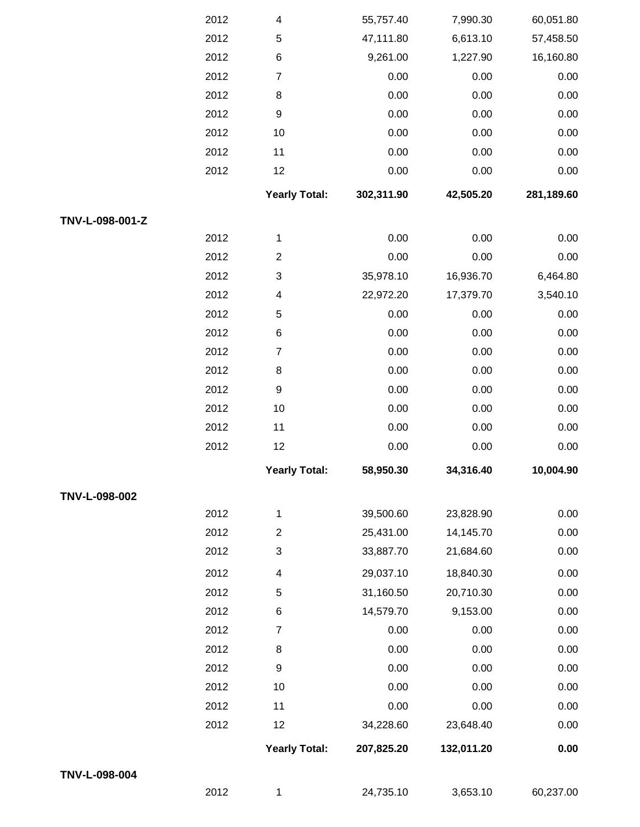|                 | 2012 | 4                         | 55,757.40  | 7,990.30   | 60,051.80  |
|-----------------|------|---------------------------|------------|------------|------------|
|                 | 2012 | 5                         | 47,111.80  | 6,613.10   | 57,458.50  |
|                 | 2012 | $\,6$                     | 9,261.00   | 1,227.90   | 16,160.80  |
|                 | 2012 | $\boldsymbol{7}$          | 0.00       | 0.00       | 0.00       |
|                 | 2012 | 8                         | 0.00       | 0.00       | 0.00       |
|                 | 2012 | $\boldsymbol{9}$          | 0.00       | 0.00       | 0.00       |
|                 | 2012 | 10                        | 0.00       | 0.00       | 0.00       |
|                 | 2012 | 11                        | 0.00       | 0.00       | $0.00\,$   |
|                 | 2012 | 12                        | 0.00       | 0.00       | 0.00       |
|                 |      | <b>Yearly Total:</b>      | 302,311.90 | 42,505.20  | 281,189.60 |
| TNV-L-098-001-Z |      |                           |            |            |            |
|                 | 2012 | 1                         | 0.00       | 0.00       | 0.00       |
|                 | 2012 | $\boldsymbol{2}$          | 0.00       | 0.00       | 0.00       |
|                 | 2012 | 3                         | 35,978.10  | 16,936.70  | 6,464.80   |
|                 | 2012 | $\overline{\mathbf{4}}$   | 22,972.20  | 17,379.70  | 3,540.10   |
|                 | 2012 | 5                         | 0.00       | 0.00       | 0.00       |
|                 | 2012 | $\,6$                     | 0.00       | 0.00       | 0.00       |
|                 | 2012 | $\overline{7}$            | 0.00       | 0.00       | 0.00       |
|                 | 2012 | 8                         | 0.00       | 0.00       | 0.00       |
|                 | 2012 | $\boldsymbol{9}$          | 0.00       | 0.00       | 0.00       |
|                 | 2012 | 10                        | 0.00       | 0.00       | 0.00       |
|                 | 2012 | 11                        | 0.00       | 0.00       | 0.00       |
|                 | 2012 | 12                        | 0.00       | 0.00       | 0.00       |
|                 |      | <b>Yearly Total:</b>      | 58,950.30  | 34,316.40  | 10,004.90  |
| TNV-L-098-002   |      |                           |            |            |            |
|                 | 2012 | 1                         | 39,500.60  | 23,828.90  | 0.00       |
|                 | 2012 | $\boldsymbol{2}$          | 25,431.00  | 14,145.70  | 0.00       |
|                 | 2012 | $\ensuremath{\mathsf{3}}$ | 33,887.70  | 21,684.60  | 0.00       |
|                 | 2012 | $\overline{\mathbf{4}}$   | 29,037.10  | 18,840.30  | 0.00       |
|                 | 2012 | 5                         | 31,160.50  | 20,710.30  | 0.00       |
|                 | 2012 | $\,$ 6 $\,$               | 14,579.70  | 9,153.00   | 0.00       |
|                 | 2012 | $\overline{7}$            | 0.00       | 0.00       | 0.00       |
|                 | 2012 | 8                         | 0.00       | 0.00       | 0.00       |
|                 | 2012 | $\boldsymbol{9}$          | 0.00       | 0.00       | 0.00       |
|                 | 2012 | 10                        | 0.00       | 0.00       | 0.00       |
|                 | 2012 | 11                        | 0.00       | 0.00       | 0.00       |
|                 | 2012 | 12                        | 34,228.60  | 23,648.40  | 0.00       |
|                 |      | <b>Yearly Total:</b>      | 207,825.20 | 132,011.20 | 0.00       |
| TNV-L-098-004   |      |                           |            |            |            |
|                 | 2012 | 1                         | 24,735.10  | 3,653.10   | 60,237.00  |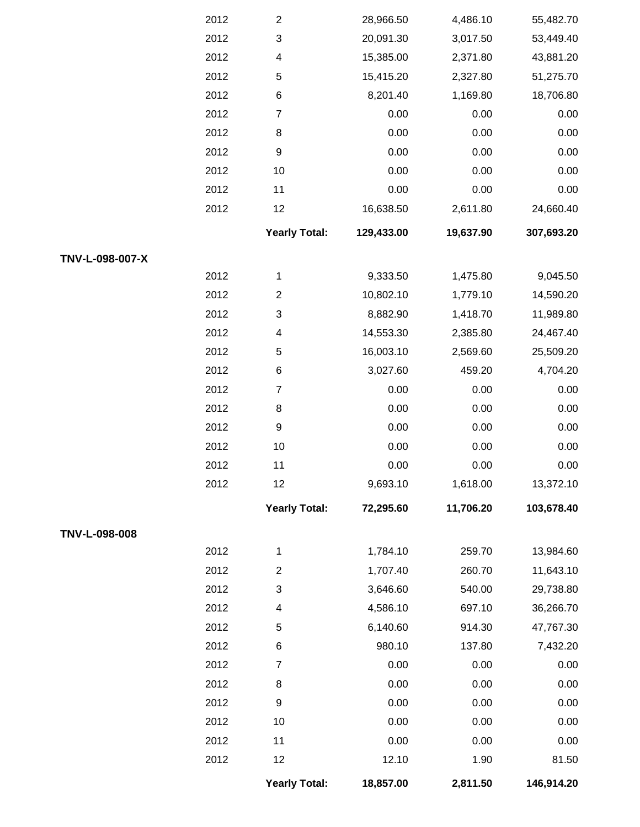|                 | 2012 | $\overline{c}$       | 28,966.50  | 4,486.10  | 55,482.70  |
|-----------------|------|----------------------|------------|-----------|------------|
|                 | 2012 | 3                    | 20,091.30  | 3,017.50  | 53,449.40  |
|                 | 2012 | 4                    | 15,385.00  | 2,371.80  | 43,881.20  |
|                 | 2012 | 5                    | 15,415.20  | 2,327.80  | 51,275.70  |
|                 | 2012 | $\,6$                | 8,201.40   | 1,169.80  | 18,706.80  |
|                 | 2012 | $\overline{7}$       | 0.00       | 0.00      | 0.00       |
|                 | 2012 | $\,8\,$              | 0.00       | 0.00      | 0.00       |
|                 | 2012 | 9                    | 0.00       | 0.00      | 0.00       |
|                 | 2012 | $10$                 | 0.00       | 0.00      | 0.00       |
|                 | 2012 | 11                   | 0.00       | 0.00      | 0.00       |
|                 | 2012 | 12                   | 16,638.50  | 2,611.80  | 24,660.40  |
|                 |      | <b>Yearly Total:</b> | 129,433.00 | 19,637.90 | 307,693.20 |
| TNV-L-098-007-X |      |                      |            |           |            |
|                 | 2012 | 1                    | 9,333.50   | 1,475.80  | 9,045.50   |
|                 | 2012 | $\overline{2}$       | 10,802.10  | 1,779.10  | 14,590.20  |
|                 | 2012 | 3                    | 8,882.90   | 1,418.70  | 11,989.80  |
|                 | 2012 | 4                    | 14,553.30  | 2,385.80  | 24,467.40  |
|                 | 2012 | 5                    | 16,003.10  | 2,569.60  | 25,509.20  |
|                 | 2012 | $\,6$                | 3,027.60   | 459.20    | 4,704.20   |
|                 | 2012 | $\overline{7}$       | 0.00       | 0.00      | 0.00       |
|                 | 2012 | $\,8\,$              | 0.00       | 0.00      | 0.00       |
|                 | 2012 | 9                    | 0.00       | 0.00      | 0.00       |
|                 | 2012 | $10$                 | 0.00       | 0.00      | 0.00       |
|                 | 2012 | 11                   | 0.00       | 0.00      | 0.00       |
|                 | 2012 | 12                   | 9,693.10   | 1,618.00  | 13,372.10  |
|                 |      | <b>Yearly Total:</b> | 72,295.60  | 11,706.20 | 103,678.40 |
| TNV-L-098-008   |      |                      |            |           |            |
|                 | 2012 | 1                    | 1,784.10   | 259.70    | 13,984.60  |
|                 | 2012 | $\overline{c}$       | 1,707.40   | 260.70    | 11,643.10  |
|                 | 2012 | 3                    | 3,646.60   | 540.00    | 29,738.80  |
|                 | 2012 | 4                    | 4,586.10   | 697.10    | 36,266.70  |
|                 | 2012 | 5                    | 6,140.60   | 914.30    | 47,767.30  |
|                 | 2012 | $\,6$                | 980.10     | 137.80    | 7,432.20   |
|                 | 2012 | $\overline{7}$       | 0.00       | 0.00      | 0.00       |
|                 | 2012 | 8                    | 0.00       | 0.00      | 0.00       |
|                 | 2012 | $\boldsymbol{9}$     | 0.00       | 0.00      | 0.00       |
|                 | 2012 | $10$                 | 0.00       | 0.00      | 0.00       |
|                 | 2012 | 11                   | 0.00       | 0.00      | 0.00       |
|                 | 2012 | 12                   | 12.10      | 1.90      | 81.50      |
|                 |      | <b>Yearly Total:</b> | 18,857.00  | 2,811.50  | 146,914.20 |